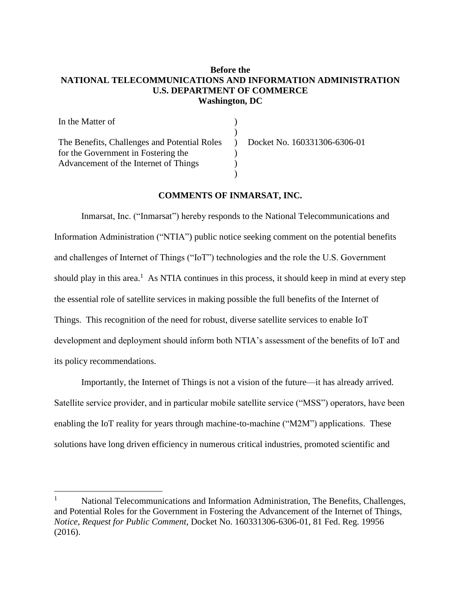## **Before the NATIONAL TELECOMMUNICATIONS AND INFORMATION ADMINISTRATION U.S. DEPARTMENT OF COMMERCE Washington, DC**

| In the Matter of                             |                              |
|----------------------------------------------|------------------------------|
|                                              |                              |
| The Benefits, Challenges and Potential Roles | Docket No. 160331306-6306-01 |
| for the Government in Fostering the          |                              |
| Advancement of the Internet of Things        |                              |
|                                              |                              |

## **COMMENTS OF INMARSAT, INC.**

Inmarsat, Inc. ("Inmarsat") hereby responds to the National Telecommunications and Information Administration ("NTIA") public notice seeking comment on the potential benefits and challenges of Internet of Things ("IoT") technologies and the role the U.S. Government should play in this area.<sup>1</sup> As NTIA continues in this process, it should keep in mind at every step the essential role of satellite services in making possible the full benefits of the Internet of Things. This recognition of the need for robust, diverse satellite services to enable IoT development and deployment should inform both NTIA's assessment of the benefits of IoT and its policy recommendations.

Importantly, the Internet of Things is not a vision of the future—it has already arrived. Satellite service provider, and in particular mobile satellite service ("MSS") operators, have been enabling the IoT reality for years through machine-to-machine ("M2M") applications. These solutions have long driven efficiency in numerous critical industries, promoted scientific and

 $\overline{a}$ 

<sup>&</sup>lt;sup>1</sup> National Telecommunications and Information Administration, The Benefits, Challenges, and Potential Roles for the Government in Fostering the Advancement of the Internet of Things, *Notice, Request for Public Comment*, Docket No. 160331306-6306-01, 81 Fed. Reg. 19956 (2016).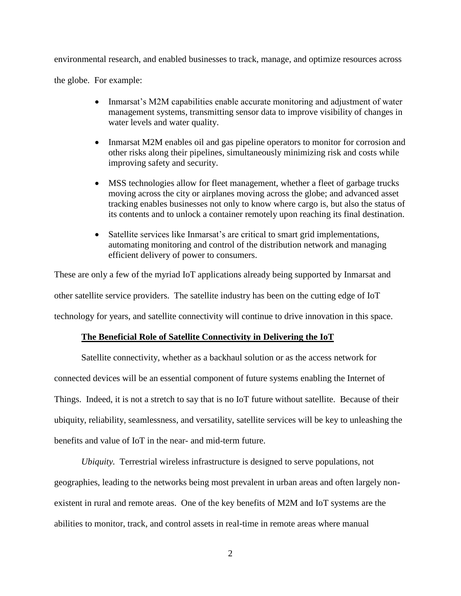environmental research, and enabled businesses to track, manage, and optimize resources across

the globe. For example:

- Inmarsat's M2M capabilities enable accurate monitoring and adjustment of water management systems, transmitting sensor data to improve visibility of changes in water levels and water quality.
- Inmarsat M2M enables oil and gas pipeline operators to monitor for corrosion and other risks along their pipelines, simultaneously minimizing risk and costs while improving safety and security.
- MSS technologies allow for fleet management, whether a fleet of garbage trucks moving across the city or airplanes moving across the globe; and advanced asset tracking enables businesses not only to know where cargo is, but also the status of its contents and to unlock a container remotely upon reaching its final destination.
- Satellite services like Inmarsat's are critical to smart grid implementations, automating monitoring and control of the distribution network and managing efficient delivery of power to consumers.

These are only a few of the myriad IoT applications already being supported by Inmarsat and other satellite service providers. The satellite industry has been on the cutting edge of IoT technology for years, and satellite connectivity will continue to drive innovation in this space.

## **The Beneficial Role of Satellite Connectivity in Delivering the IoT**

Satellite connectivity, whether as a backhaul solution or as the access network for connected devices will be an essential component of future systems enabling the Internet of Things. Indeed, it is not a stretch to say that is no IoT future without satellite. Because of their ubiquity, reliability, seamlessness, and versatility, satellite services will be key to unleashing the benefits and value of IoT in the near- and mid-term future.

*Ubiquity.* Terrestrial wireless infrastructure is designed to serve populations, not geographies, leading to the networks being most prevalent in urban areas and often largely nonexistent in rural and remote areas. One of the key benefits of M2M and IoT systems are the abilities to monitor, track, and control assets in real-time in remote areas where manual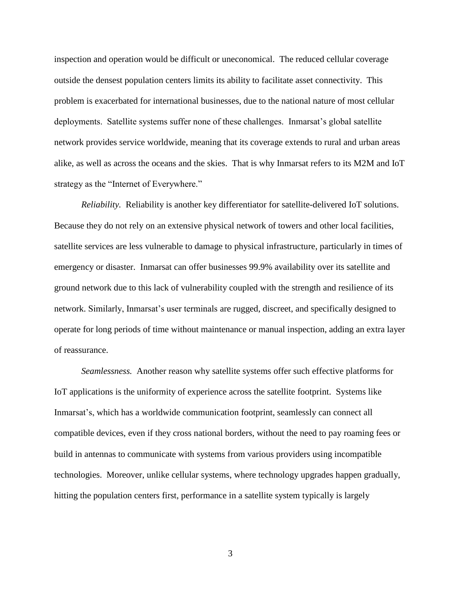inspection and operation would be difficult or uneconomical. The reduced cellular coverage outside the densest population centers limits its ability to facilitate asset connectivity. This problem is exacerbated for international businesses, due to the national nature of most cellular deployments. Satellite systems suffer none of these challenges. Inmarsat's global satellite network provides service worldwide, meaning that its coverage extends to rural and urban areas alike, as well as across the oceans and the skies. That is why Inmarsat refers to its M2M and IoT strategy as the "Internet of Everywhere."

*Reliability.* Reliability is another key differentiator for satellite-delivered IoT solutions. Because they do not rely on an extensive physical network of towers and other local facilities, satellite services are less vulnerable to damage to physical infrastructure, particularly in times of emergency or disaster. Inmarsat can offer businesses 99.9% availability over its satellite and ground network due to this lack of vulnerability coupled with the strength and resilience of its network. Similarly, Inmarsat's user terminals are rugged, discreet, and specifically designed to operate for long periods of time without maintenance or manual inspection, adding an extra layer of reassurance.

*Seamlessness.* Another reason why satellite systems offer such effective platforms for IoT applications is the uniformity of experience across the satellite footprint. Systems like Inmarsat's, which has a worldwide communication footprint, seamlessly can connect all compatible devices, even if they cross national borders, without the need to pay roaming fees or build in antennas to communicate with systems from various providers using incompatible technologies. Moreover, unlike cellular systems, where technology upgrades happen gradually, hitting the population centers first, performance in a satellite system typically is largely

3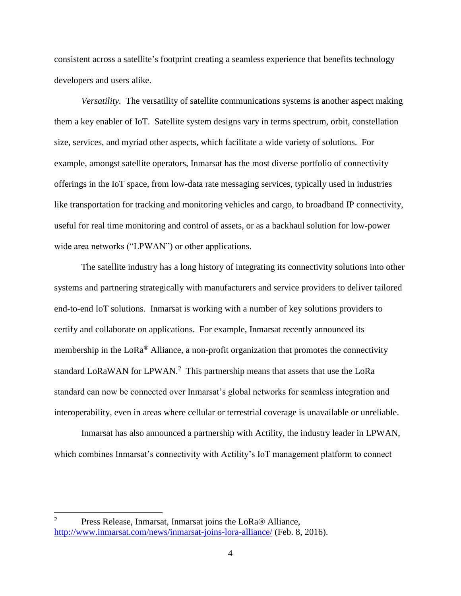consistent across a satellite's footprint creating a seamless experience that benefits technology developers and users alike.

*Versatility.* The versatility of satellite communications systems is another aspect making them a key enabler of IoT. Satellite system designs vary in terms spectrum, orbit, constellation size, services, and myriad other aspects, which facilitate a wide variety of solutions. For example, amongst satellite operators, Inmarsat has the most diverse portfolio of connectivity offerings in the IoT space, from low-data rate messaging services, typically used in industries like transportation for tracking and monitoring vehicles and cargo, to broadband IP connectivity, useful for real time monitoring and control of assets, or as a backhaul solution for low-power wide area networks ("LPWAN") or other applications.

The satellite industry has a long history of integrating its connectivity solutions into other systems and partnering strategically with manufacturers and service providers to deliver tailored end-to-end IoT solutions. Inmarsat is working with a number of key solutions providers to certify and collaborate on applications. For example, Inmarsat recently announced its membership in the  $LoRa^{\circledast}$  Alliance, a non-profit organization that promotes the connectivity standard LoRaWAN for LPWAN.<sup>2</sup> This partnership means that assets that use the LoRa standard can now be connected over Inmarsat's global networks for seamless integration and interoperability, even in areas where cellular or terrestrial coverage is unavailable or unreliable.

Inmarsat has also announced a partnership with Actility, the industry leader in LPWAN, which combines Inmarsat's connectivity with Actility's IoT management platform to connect

 $\overline{a}$ 

<sup>&</sup>lt;sup>2</sup> Press Release, Inmarsat, Inmarsat joins the LoRa® Alliance, <http://www.inmarsat.com/news/inmarsat-joins-lora-alliance/> (Feb. 8, 2016).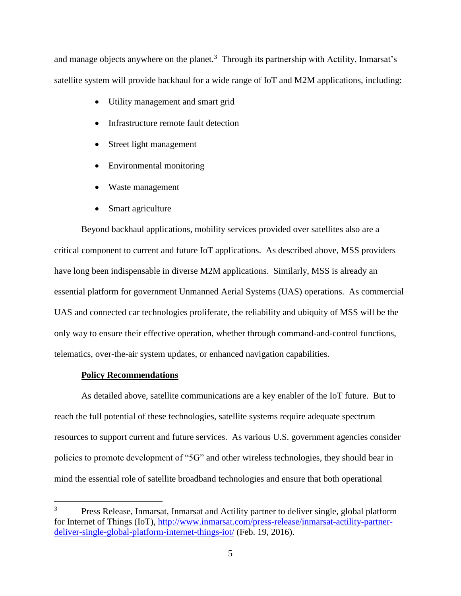and manage objects anywhere on the planet.<sup>3</sup> Through its partnership with Actility, Inmarsat's satellite system will provide backhaul for a wide range of IoT and M2M applications, including:

- Utility management and smart grid
- Infrastructure remote fault detection
- Street light management
- Environmental monitoring
- Waste management
- Smart agriculture

Beyond backhaul applications, mobility services provided over satellites also are a critical component to current and future IoT applications. As described above, MSS providers have long been indispensable in diverse M2M applications. Similarly, MSS is already an essential platform for government Unmanned Aerial Systems (UAS) operations. As commercial UAS and connected car technologies proliferate, the reliability and ubiquity of MSS will be the only way to ensure their effective operation, whether through command-and-control functions, telematics, over-the-air system updates, or enhanced navigation capabilities.

## **Policy Recommendations**

As detailed above, satellite communications are a key enabler of the IoT future. But to reach the full potential of these technologies, satellite systems require adequate spectrum resources to support current and future services. As various U.S. government agencies consider policies to promote development of "5G" and other wireless technologies, they should bear in mind the essential role of satellite broadband technologies and ensure that both operational

 $\overline{3}$ <sup>3</sup> Press Release, Inmarsat, Inmarsat and Actility partner to deliver single, global platform for Internet of Things (IoT), [http://www.inmarsat.com/press-release/inmarsat-actility-partner](http://www.inmarsat.com/press-release/inmarsat-actility-partner-deliver-single-global-platform-internet-things-iot/)[deliver-single-global-platform-internet-things-iot/](http://www.inmarsat.com/press-release/inmarsat-actility-partner-deliver-single-global-platform-internet-things-iot/) (Feb. 19, 2016).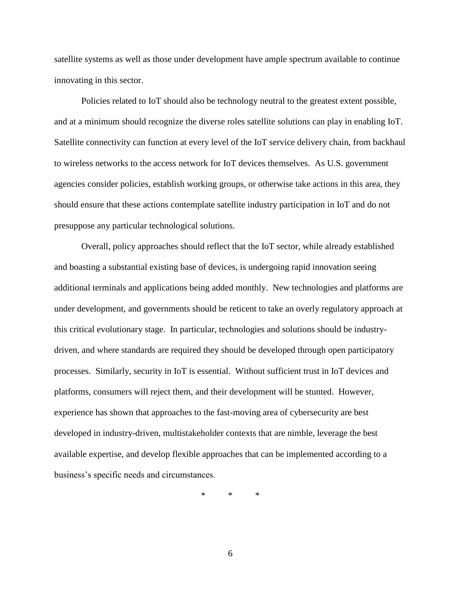satellite systems as well as those under development have ample spectrum available to continue innovating in this sector.

Policies related to IoT should also be technology neutral to the greatest extent possible, and at a minimum should recognize the diverse roles satellite solutions can play in enabling IoT. Satellite connectivity can function at every level of the IoT service delivery chain, from backhaul to wireless networks to the access network for IoT devices themselves. As U.S. government agencies consider policies, establish working groups, or otherwise take actions in this area, they should ensure that these actions contemplate satellite industry participation in IoT and do not presuppose any particular technological solutions.

Overall, policy approaches should reflect that the IoT sector, while already established and boasting a substantial existing base of devices, is undergoing rapid innovation seeing additional terminals and applications being added monthly. New technologies and platforms are under development, and governments should be reticent to take an overly regulatory approach at this critical evolutionary stage. In particular, technologies and solutions should be industrydriven, and where standards are required they should be developed through open participatory processes. Similarly, security in IoT is essential. Without sufficient trust in IoT devices and platforms, consumers will reject them, and their development will be stunted. However, experience has shown that approaches to the fast-moving area of cybersecurity are best developed in industry-driven, multistakeholder contexts that are nimble, leverage the best available expertise, and develop flexible approaches that can be implemented according to a business's specific needs and circumstances.

\* \* \*

6